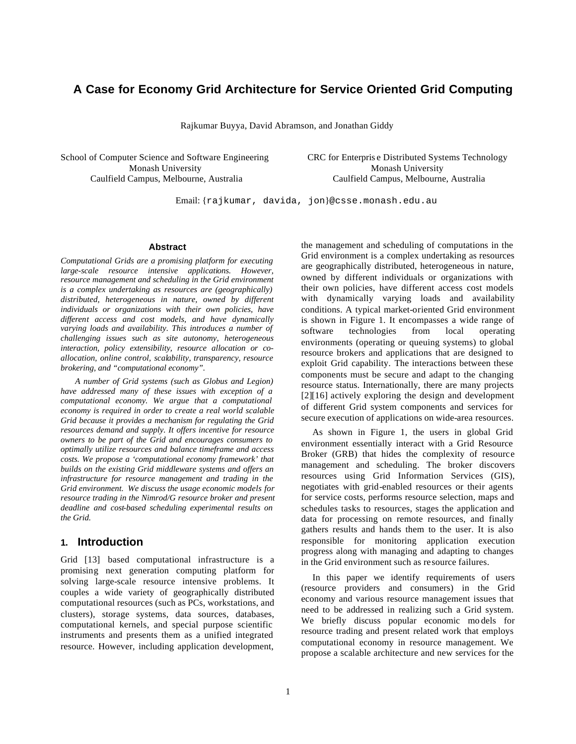# **A Case for Economy Grid Architecture for Service Oriented Grid Computing**

Rajkumar Buyya, David Abramson, and Jonathan Giddy

School of Computer Science and Software Engineering Monash University Caulfield Campus, Melbourne, Australia

CRC for Enterpris e Distributed Systems Technology Monash University Caulfield Campus, Melbourne, Australia

Email: {rajkumar, davida, jon}@csse.monash.edu.au

#### **Abstract**

*Computational Grids are a promising platform for executing large-scale resource intensive applications. However, resource management and scheduling in the Grid environment is a complex undertaking as resources are (geographically) distributed, heterogeneous in nature, owned by different individuals or organizations with their own policies, have different access and cost models, and have dynamically varying loads and availability. This introduces a number of challenging issues such as site autonomy, heterogeneous interaction, policy extensibility, resource allocation or coallocation, online control, scalability, transparency, resource brokering, and "computational economy".* 

 *A number of Grid systems (such as Globus and Legion) have addressed many of these issues with exception of a computational economy. We argue that a computational economy is required in order to create a real world scalable Grid because it provides a mechanism for regulating the Grid resources demand and supply. It offers incentive for resource owners to be part of the Grid and encourages consumers to optimally utilize resources and balance timeframe and access costs. We propose a 'computational economy framework' that builds on the existing Grid middleware systems and offers an infrastructure for resource management and trading in the Grid environment. We discuss the usage economic models for resource trading in the Nimrod/G resource broker and present deadline and cost-based scheduling experimental results on the Grid.* 

## **1. Introduction**

Grid [13] based computational infrastructure is a promising next generation computing platform for solving large-scale resource intensive problems. It couples a wide variety of geographically distributed computational resources (such as PCs, workstations, and clusters), storage systems, data sources, databases, computational kernels, and special purpose scientific instruments and presents them as a unified integrated resource. However, including application development,

the management and scheduling of computations in the Grid environment is a complex undertaking as resources are geographically distributed, heterogeneous in nature, owned by different individuals or organizations with their own policies, have different access cost models with dynamically varying loads and availability conditions. A typical market-oriented Grid environment is shown in Figure 1. It encompasses a wide range of software technologies from local operating environments (operating or queuing systems) to global resource brokers and applications that are designed to exploit Grid capability. The interactions between these components must be secure and adapt to the changing resource status. Internationally, there are many projects [2][16] actively exploring the design and development of different Grid system components and services for secure execution of applications on wide-area resources.

As shown in Figure 1, the users in global Grid environment essentially interact with a Grid Resource Broker (GRB) that hides the complexity of resource management and scheduling. The broker discovers resources using Grid Information Services (GIS), negotiates with grid-enabled resources or their agents for service costs, performs resource selection, maps and schedules tasks to resources, stages the application and data for processing on remote resources, and finally gathers results and hands them to the user. It is also responsible for monitoring application execution progress along with managing and adapting to changes in the Grid environment such as resource failures.

In this paper we identify requirements of users (resource providers and consumers) in the Grid economy and various resource management issues that need to be addressed in realizing such a Grid system. We briefly discuss popular economic mo dels for resource trading and present related work that employs computational economy in resource management. We propose a scalable architecture and new services for the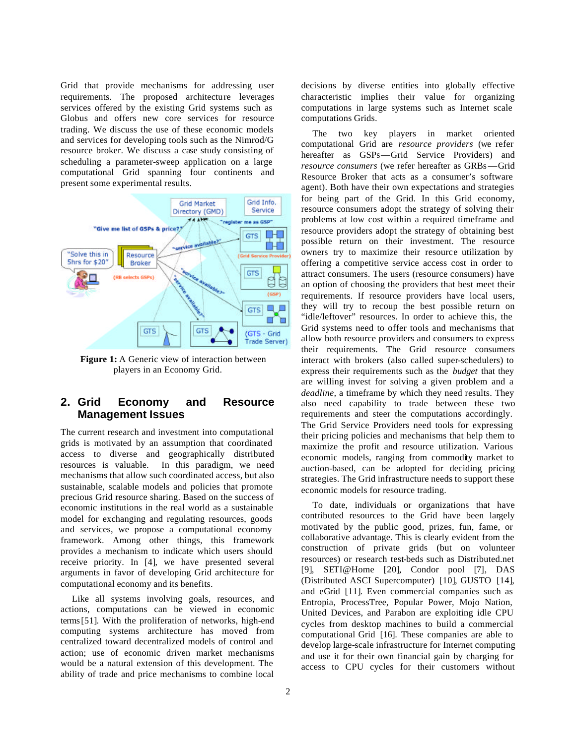Grid that provide mechanisms for addressing user requirements. The proposed architecture leverages services offered by the existing Grid systems such as Globus and offers new core services for resource trading. We discuss the use of these economic models and services for developing tools such as the Nimrod/G resource broker. We discuss a case study consisting of scheduling a parameter-sweep application on a large computational Grid spanning four continents and present some experimental results.



**Figure 1:** A Generic view of interaction between players in an Economy Grid.

## **2. Grid Economy and Resource Management Issues**

The current research and investment into computational grids is motivated by an assumption that coordinated access to diverse and geographically distributed resources is valuable. In this paradigm, we need mechanisms that allow such coordinated access, but also sustainable, scalable models and policies that promote precious Grid resource sharing. Based on the success of economic institutions in the real world as a sustainable model for exchanging and regulating resources, goods and services, we propose a computational economy framework. Among other things, this framework provides a mechanism to indicate which users should receive priority. In [4], we have presented several arguments in favor of developing Grid architecture for computational economy and its benefits.

Like all systems involving goals, resources, and actions, computations can be viewed in economic terms[51]. With the proliferation of networks, high-end computing systems architecture has moved from centralized toward decentralized models of control and action; use of economic driven market mechanisms would be a natural extension of this development. The ability of trade and price mechanisms to combine local

decisions by diverse entities into globally effective characteristic implies their value for organizing computations in large systems such as Internet scale computations Grids.

The two key players in market oriented computational Grid are *resource providers* (we refer hereafter as GSPs—Grid Service Providers) and *resource consumers* (we refer hereafter as GRBs—Grid Resource Broker that acts as a consumer's software agent). Both have their own expectations and strategies for being part of the Grid. In this Grid economy, resource consumers adopt the strategy of solving their problems at low cost within a required timeframe and resource providers adopt the strategy of obtaining best possible return on their investment. The resource owners try to maximize their resource utilization by offering a competitive service access cost in order to attract consumers. The users (resource consumers) have an option of choosing the providers that best meet their requirements. If resource providers have local users, they will try to recoup the best possible return on "idle/leftover" resources. In order to achieve this, the Grid systems need to offer tools and mechanisms that allow both resource providers and consumers to express their requirements. The Grid resource consumers interact with brokers (also called super-schedulers) to express their requirements such as the *budget* that they are willing invest for solving a given problem and a *deadline,* a timeframe by which they need results. They also need capability to trade between these two requirements and steer the computations accordingly. The Grid Service Providers need tools for expressing their pricing policies and mechanisms that help them to maximize the profit and resource utilization. Various economic models, ranging from commodity market to auction-based, can be adopted for deciding pricing strategies. The Grid infrastructure needs to support these economic models for resource trading.

To date, individuals or organizations that have contributed resources to the Grid have been largely motivated by the public good, prizes, fun, fame, or collaborative advantage. This is clearly evident from the construction of private grids (but on volunteer resources) or research test-beds such as Distributed.net [9], SETI@Home [20], Condor pool [7], DAS (Distributed ASCI Supercomputer) [10], GUSTO [14], and eGrid [11]. Even commercial companies such as Entropia, ProcessTree, Popular Power, Mojo Nation, United Devices, and Parabon are exploiting idle CPU cycles from desktop machines to build a commercial computational Grid [16]. These companies are able to develop large-scale infrastructure for Internet computing and use it for their own financial gain by charging for access to CPU cycles for their customers without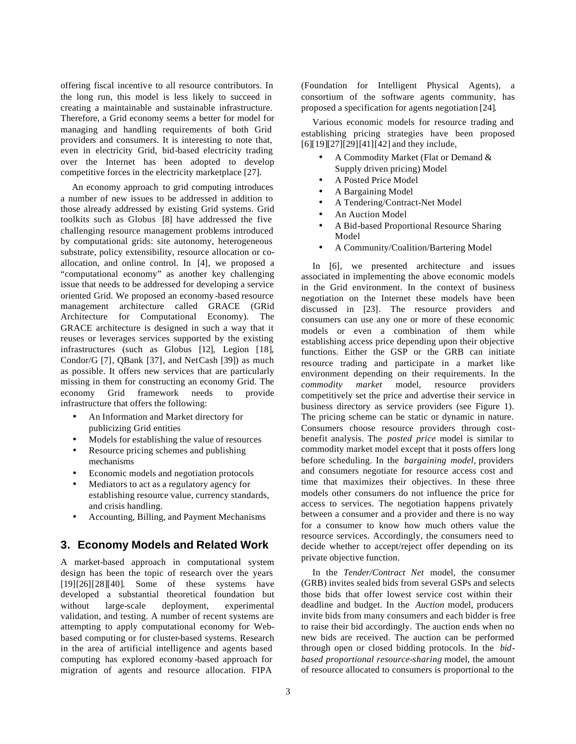offering fiscal incentive to all resource contributors. In the long run, this model is less likely to succeed in creating a maintainable and sustainable infrastructure. Therefore, a Grid economy seems a better for model for managing and handling requirements of both Grid providers and consumers. It is interesting to note that, even in electricity Grid, bid-based electricity trading over the Internet has been adopted to develop competitive forces in the electricity marketplace [27].

An economy approach to grid computing introduces a number of new issues to be addressed in addition to those already addressed by existing Grid systems. Grid toolkits such as Globus [8] have addressed the five challenging resource management problems introduced by computational grids: site autonomy, heterogeneous substrate, policy extensibility, resource allocation or coallocation, and online control. In [4], we proposed a "computational economy" as another key challenging issue that needs to be addressed for developing a service oriented Grid. We proposed an economy -based resource management architecture called GRACE (GRid Architecture for Computational Economy). The GRACE architecture is designed in such a way that it reuses or leverages services supported by the existing infrastructures (such as Globus [12], Legion [18], Condor/G [7], QBank [37], and NetCash [39]) as much as possible. It offers new services that are particularly missing in them for constructing an economy Grid. The economy Grid framework needs to provide infrastructure that offers the following:

- An Information and Market directory for publicizing Grid entities
- Models for establishing the value of resources
- Resource pricing schemes and publishing mechanisms
- Economic models and negotiation protocols
- Mediators to act as a regulatory agency for establishing resource value, currency standards, and crisis handling.
- Accounting, Billing, and Payment Mechanisms

# **3. Economy Models and Related Work**

A market-based approach in computational system design has been the topic of research over the years [19][26][28][40]. Some of these systems have developed a substantial theoretical foundation but without large-scale deployment, experimental validation, and testing. A number of recent systems are attempting to apply computational economy for Webbased computing or for cluster-based systems. Research in the area of artificial intelligence and agents based computing has explored economy -based approach for migration of agents and resource allocation. FIPA

(Foundation for Intelligent Physical Agents), a consortium of the software agents community, has proposed a specification for agents negotiation [24].

Various economic models for resource trading and establishing pricing strategies have been proposed [6][19][27][29][41][42] and they include,

- A Commodity Market (Flat or Demand & Supply driven pricing) Model
- A Posted Price Model
- A Bargaining Model
- A Tendering/Contract-Net Model
- An Auction Model
- A Bid-based Proportional Resource Sharing Model
- A Community/Coalition/Bartering Model

In [6], we presented architecture and issues associated in implementing the above economic models in the Grid environment. In the context of business negotiation on the Internet these models have been discussed in [23]. The resource providers and consumers can use any one or more of these economic models or even a combination of them while establishing access price depending upon their objective functions. Either the GSP or the GRB can initiate resource trading and participate in a market like environment depending on their requirements. In the *commodity market* model, resource providers competitively set the price and advertise their service in business directory as service providers (see Figure 1). The pricing scheme can be static or dynamic in nature. Consumers choose resource providers through costbenefit analysis. The *posted price* model is similar to commodity market model except that it posts offers long before scheduling. In the *bargaining model,* providers and consumers negotiate for resource access cost and time that maximizes their objectives. In these three models other consumers do not influence the price for access to services. The negotiation happens privately between a consumer and a provider and there is no way for a consumer to know how much others value the resource services. Accordingly, the consumers need to decide whether to accept/reject offer depending on its private objective function.

In the *Tender/Contract Net* model, the consumer (GRB) invites sealed bids from several GSPs and selects those bids that offer lowest service cost within their deadline and budget. In the *Auction* model, producers invite bids from many consumers and each bidder is free to raise their bid accordingly. The auction ends when no new bids are received. The auction can be performed through open or closed bidding protocols. In the *bidbased proportional resource-sharing* model, the amount of resource allocated to consumers is proportional to the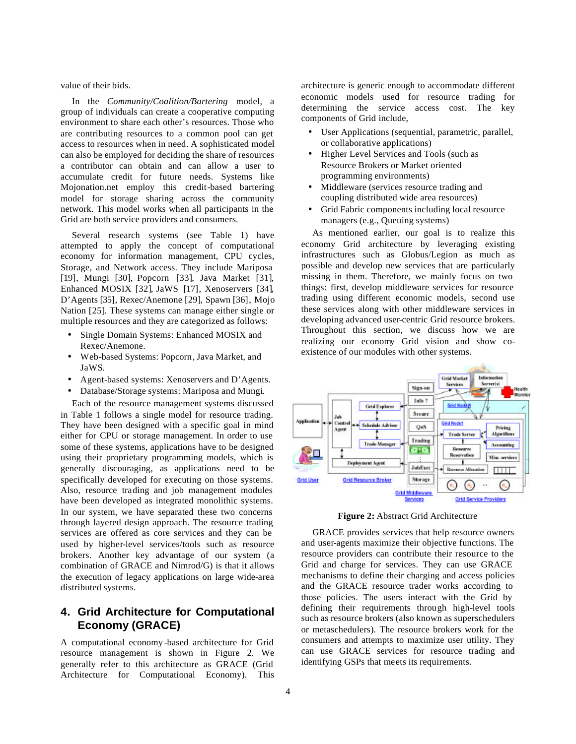value of their bids.

In the *Community/Coalition/Bartering* model, a group of individuals can create a cooperative computing environment to share each other's resources. Those who are contributing resources to a common pool can get access to resources when in need. A sophisticated model can also be employed for deciding the share of resources a contributor can obtain and can allow a user to accumulate credit for future needs. Systems like Mojonation.net employ this credit-based bartering model for storage sharing across the community network. This model works when all participants in the Grid are both service providers and consumers.

Several research systems (see Table 1) have attempted to apply the concept of computational economy for information management, CPU cycles, Storage, and Network access. They include Mariposa [19], Mungi [30], Popcorn [33], Java Market [31], Enhanced MOSIX [32], JaWS [17], Xenoservers [34], D'Agents [35], Rexec/Anemone [29], Spawn [36], Mojo Nation [25]. These systems can manage either single or multiple resources and they are categorized as follows:

- Single Domain Systems: Enhanced MOSIX and Rexec/Anemone.
- Web-based Systems: Popcorn, Java Market, and JaWS.
- Agent-based systems: Xenoservers and D'Agents.
- Database/Storage systems: Mariposa and Mungi.

Each of the resource management systems discussed in Table 1 follows a single model for resource trading. They have been designed with a specific goal in mind either for CPU or storage management. In order to use some of these systems, applications have to be designed using their proprietary programming models, which is generally discouraging, as applications need to be specifically developed for executing on those systems. Also, resource trading and job management modules have been developed as integrated monolithic systems. In our system, we have separated these two concerns through layered design approach. The resource trading services are offered as core services and they can be used by higher-level services/tools such as resource brokers. Another key advantage of our system (a combination of GRACE and Nimrod/G) is that it allows the execution of legacy applications on large wide-area distributed systems.

# **4. Grid Architecture for Computational Economy (GRACE)**

A computational economy -based architecture for Grid resource management is shown in Figure 2. We generally refer to this architecture as GRACE (Grid Architecture for Computational Economy). This

architecture is generic enough to accommodate different economic models used for resource trading for determining the service access cost. The key components of Grid include,

- User Applications (sequential, parametric, parallel, or collaborative applications)
- Higher Level Services and Tools (such as Resource Brokers or Market oriented programming environments)
- Middleware (services resource trading and coupling distributed wide area resources)
- Grid Fabric components including local resource managers (e.g., Queuing systems)

As mentioned earlier, our goal is to realize this economy Grid architecture by leveraging existing infrastructures such as Globus/Legion as much as possible and develop new services that are particularly missing in them. Therefore, we mainly focus on two things: first, develop middleware services for resource trading using different economic models, second use these services along with other middleware services in developing advanced user-centric Grid resource brokers. Throughout this section, we discuss how we are realizing our economy Grid vision and show coexistence of our modules with other systems.



**Figure 2:** Abstract Grid Architecture

GRACE provides services that help resource owners and user-agents maximize their objective functions. The resource providers can contribute their resource to the Grid and charge for services. They can use GRACE mechanisms to define their charging and access policies and the GRACE resource trader works according to those policies. The users interact with the Grid by defining their requirements through high-level tools such as resource brokers (also known as superschedulers or metaschedulers). The resource brokers work for the consumers and attempts to maximize user utility. They can use GRACE services for resource trading and identifying GSPs that meets its requirements.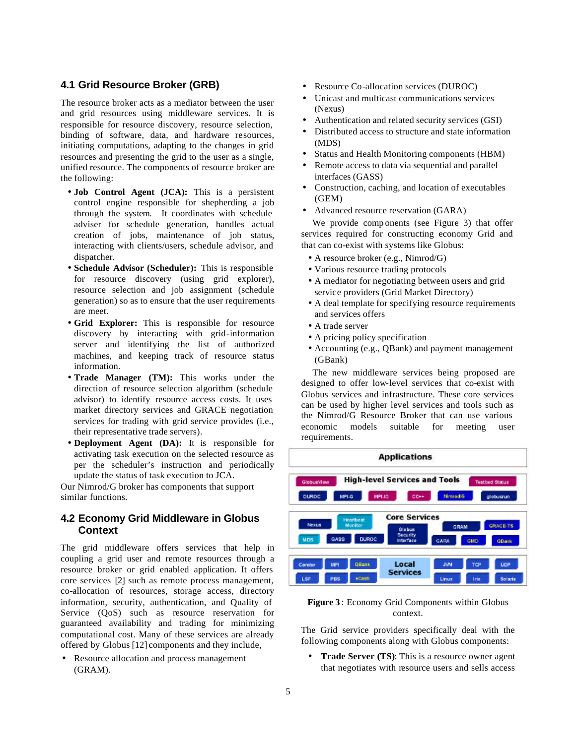## **4.1 Grid Resource Broker (GRB)**

The resource broker acts as a mediator between the user and grid resources using middleware services. It is responsible for resource discovery, resource selection, binding of software, data, and hardware resources, initiating computations, adapting to the changes in grid resources and presenting the grid to the user as a single, unified resource. The components of resource broker are the following:

- **Job Control Agent (JCA):** This is a persistent control engine responsible for shepherding a job through the system. It coordinates with schedule adviser for schedule generation, handles actual creation of jobs, maintenance of job status, interacting with clients/users, schedule advisor, and dispatcher.
- **Schedule Advisor (Scheduler):** This is responsible for resource discovery (using grid explorer), resource selection and job assignment (schedule generation) so as to ensure that the user requirements are meet.
- **Grid Explorer:** This is responsible for resource discovery by interacting with grid-information server and identifying the list of authorized machines, and keeping track of resource status information.
- **Trade Manager (TM):** This works under the direction of resource selection algorithm (schedule advisor) to identify resource access costs. It uses market directory services and GRACE negotiation services for trading with grid service provides (i.e., their representative trade servers).
- **Deployment Agent (DA):** It is responsible for activating task execution on the selected resource as per the scheduler's instruction and periodically update the status of task execution to JCA.

Our Nimrod/G broker has components that support similar functions.

## **4.2 Economy Grid Middleware in Globus Context**

The grid middleware offers services that help in coupling a grid user and remote resources through a resource broker or grid enabled application. It offers core services [2] such as remote process management, co-allocation of resources, storage access, directory information, security, authentication, and Quality of Service (QoS) such as resource reservation for guaranteed availability and trading for minimizing computational cost. Many of these services are already offered by Globus [12] components and they include,

• Resource allocation and process management (GRAM).

- Resource Co-allocation services (DUROC)
- Unicast and multicast communications services (Nexus)
- Authentication and related security services (GSI)
- Distributed access to structure and state information (MDS)
- Status and Health Monitoring components (HBM)
- Remote access to data via sequential and parallel interfaces (GASS)
- Construction, caching, and location of executables (GEM)
- Advanced resource reservation (GARA)

We provide comp onents (see Figure 3) that offer services required for constructing economy Grid and that can co-exist with systems like Globus:

- A resource broker (e.g., Nimrod/G)
- Various resource trading protocols
- A mediator for negotiating between users and grid service providers (Grid Market Directory)
- A deal template for specifying resource requirements and services offers
- A trade server
- A pricing policy specification
- Accounting (e.g., QBank) and payment management (GBank)

The new middleware services being proposed are designed to offer low-level services that co-exist with Globus services and infrastructure. These core services can be used by higher level services and tools such as the Nimrod/G Resource Broker that can use various economic models suitable for meeting user requirements.



#### **Figure 3** : Economy Grid Components within Globus context.

The Grid service providers specifically deal with the following components along with Globus components:

• **Trade Server (TS)**: This is a resource owner agent that negotiates with resource users and sells access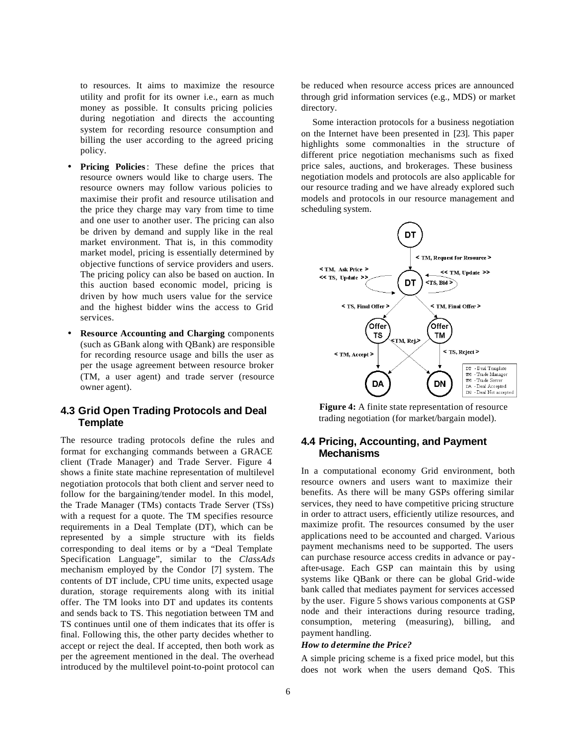to resources. It aims to maximize the resource utility and profit for its owner i.e., earn as much money as possible. It consults pricing policies during negotiation and directs the accounting system for recording resource consumption and billing the user according to the agreed pricing policy.

- **Pricing Policies**: These define the prices that resource owners would like to charge users. The resource owners may follow various policies to maximise their profit and resource utilisation and the price they charge may vary from time to time and one user to another user. The pricing can also be driven by demand and supply like in the real market environment. That is, in this commodity market model, pricing is essentially determined by objective functions of service providers and users. The pricing policy can also be based on auction. In this auction based economic model, pricing is driven by how much users value for the service and the highest bidder wins the access to Grid services.
- **Resource Accounting and Charging** components (such as GBank along with QBank) are responsible for recording resource usage and bills the user as per the usage agreement between resource broker (TM, a user agent) and trade server (resource owner agent).

## **4.3 Grid Open Trading Protocols and Deal Template**

The resource trading protocols define the rules and format for exchanging commands between a GRACE client (Trade Manager) and Trade Server. Figure 4 shows a finite state machine representation of multilevel negotiation protocols that both client and server need to follow for the bargaining/tender model. In this model, the Trade Manager (TMs) contacts Trade Server (TSs) with a request for a quote. The TM specifies resource requirements in a Deal Template (DT), which can be represented by a simple structure with its fields corresponding to deal items or by a "Deal Template Specification Language", similar to the *ClassAds* mechanism employed by the Condor [7] system. The contents of DT include, CPU time units, expected usage duration, storage requirements along with its initial offer. The TM looks into DT and updates its contents and sends back to TS. This negotiation between TM and TS continues until one of them indicates that its offer is final. Following this, the other party decides whether to accept or reject the deal. If accepted, then both work as per the agreement mentioned in the deal. The overhead introduced by the multilevel point-to-point protocol can be reduced when resource access prices are announced through grid information services (e.g., MDS) or market directory.

Some interaction protocols for a business negotiation on the Internet have been presented in [23]. This paper highlights some commonalties in the structure of different price negotiation mechanisms such as fixed price sales, auctions, and brokerages. These business negotiation models and protocols are also applicable for our resource trading and we have already explored such models and protocols in our resource management and scheduling system.



**Figure 4:** A finite state representation of resource trading negotiation (for market/bargain model).

## **4.4 Pricing, Accounting, and Payment Mechanisms**

In a computational economy Grid environment, both resource owners and users want to maximize their benefits. As there will be many GSPs offering similar services, they need to have competitive pricing structure in order to attract users, efficiently utilize resources, and maximize profit. The resources consumed by the user applications need to be accounted and charged. Various payment mechanisms need to be supported. The users can purchase resource access credits in advance or payafter-usage. Each GSP can maintain this by using systems like QBank or there can be global Grid-wide bank called that mediates payment for services accessed by the user. Figure 5 shows various components at GSP node and their interactions during resource trading, consumption, metering (measuring), billing, and payment handling.

#### *How to determine the Price?*

A simple pricing scheme is a fixed price model, but this does not work when the users demand QoS. This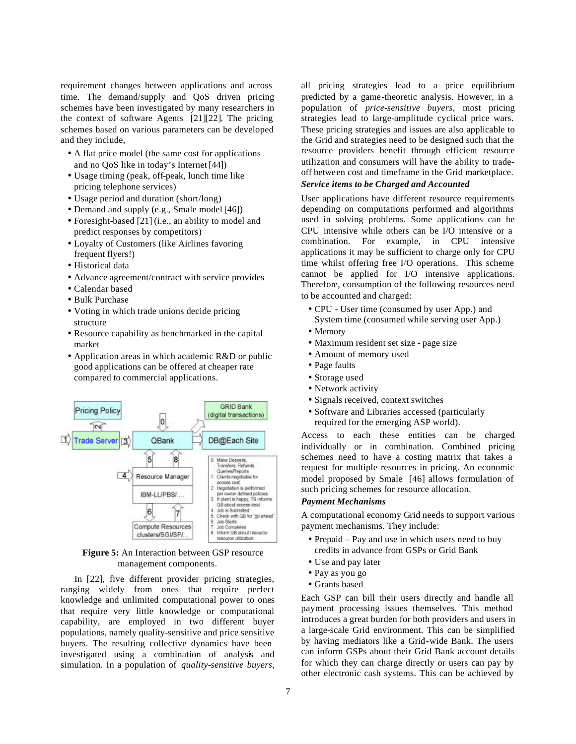requirement changes between applications and across time. The demand/supply and QoS driven pricing schemes have been investigated by many researchers in the context of software Agents [21][22]. The pricing schemes based on various parameters can be developed and they include,

- A flat price model (the same cost for applications and no QoS like in today's Internet [44])
- Usage timing (peak, off-peak, lunch time like pricing telephone services)
- Usage period and duration (short/long)
- Demand and supply (e.g., Smale model [46])
- Foresight-based [21] (i.e., an ability to model and predict responses by competitors)
- Loyalty of Customers (like Airlines favoring frequent flyers!)
- Historical data
- Advance agreement/contract with service provides
- Calendar based
- Bulk Purchase
- Voting in which trade unions decide pricing structure
- Resource capability as benchmarked in the capital market
- Application areas in which academic R&D or public good applications can be offered at cheaper rate compared to commercial applications.



#### **Figure 5:** An Interaction between GSP resource management components.

 In [22], five different provider pricing strategies, ranging widely from ones that require perfect knowledge and unlimited computational power to ones that require very little knowledge or computational capability, are employed in two different buyer populations, namely quality-sensitive and price sensitive buyers. The resulting collective dynamics have been investigated using a combination of analysis and simulation. In a population of *quality-sensitive buyers*,

all pricing strategies lead to a price equilibrium predicted by a game-theoretic analysis. However, in a population of *price-sensitive buyers*, most pricing strategies lead to large-amplitude cyclical price wars. These pricing strategies and issues are also applicable to the Grid and strategies need to be designed such that the resource providers benefit through efficient resource utilization and consumers will have the ability to tradeoff between cost and timeframe in the Grid marketplace.

#### *Service items to be Charged and Accounted*

User applications have different resource requirements depending on computations performed and algorithms used in solving problems. Some applications can be CPU intensive while others can be I/O intensive or a combination. For example, in CPU intensive applications it may be sufficient to charge only for CPU time whilst offering free I/O operations. This scheme cannot be applied for I/O intensive applications. Therefore, consumption of the following resources need to be accounted and charged:

- CPU User time (consumed by user App.) and System time (consumed while serving user App.)
- Memory
- Maximum resident set size page size
- Amount of memory used
- Page faults
- Storage used
- Network activity
- Signals received, context switches
- Software and Libraries accessed (particularly required for the emerging ASP world).

Access to each these entities can be charged individually or in combination. Combined pricing schemes need to have a costing matrix that takes a request for multiple resources in pricing. An economic model proposed by Smale [46] allows formulation of such pricing schemes for resource allocation.

### *Payment Mechanisms*

A computational economy Grid needs to support various payment mechanisms. They include:

- Prepaid Pay and use in which users need to buy credits in advance from GSPs or Grid Bank
- Use and pay later
- Pay as you go
- Grants based

Each GSP can bill their users directly and handle all payment processing issues themselves. This method introduces a great burden for both providers and users in a large-scale Grid environment. This can be simplified by having mediators like a Grid-wide Bank. The users can inform GSPs about their Grid Bank account details for which they can charge directly or users can pay by other electronic cash systems. This can be achieved by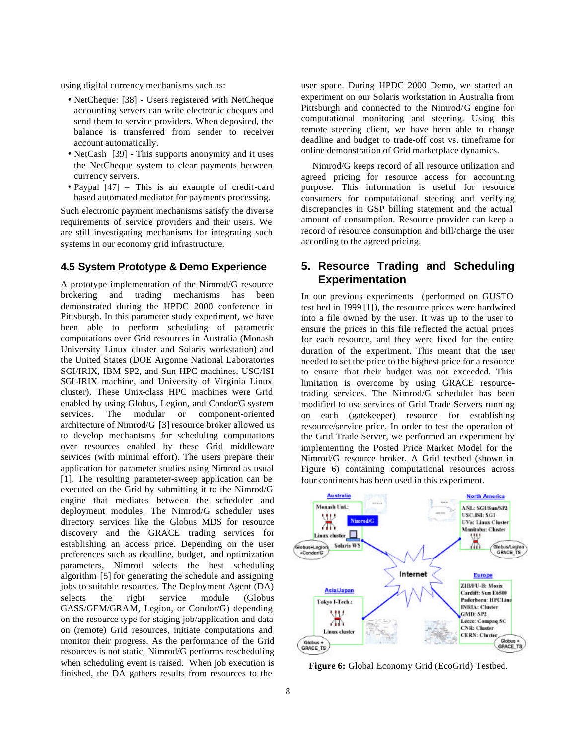using digital currency mechanisms such as:

- NetCheque: [38] Users registered with NetCheque accounting servers can write electronic cheques and send them to service providers. When deposited, the balance is transferred from sender to receiver account automatically.
- NetCash [39] This supports anonymity and it uses the NetCheque system to clear payments between currency servers.
- Paypal [47] This is an example of credit-card based automated mediator for payments processing.

Such electronic payment mechanisms satisfy the diverse requirements of service providers and their users. We are still investigating mechanisms for integrating such systems in our economy grid infrastructure.

### **4.5 System Prototype & Demo Experience**

A prototype implementation of the Nimrod/G resource brokering and trading mechanisms has been demonstrated during the HPDC 2000 conference in Pittsburgh. In this parameter study experiment, we have been able to perform scheduling of parametric computations over Grid resources in Australia (Monash University Linux cluster and Solaris workstation) and the United States (DOE Argonne National Laboratories SGI/IRIX, IBM SP2, and Sun HPC machines, USC/ISI SGI-IRIX machine, and University of Virginia Linux cluster). These Unix-class HPC machines were Grid enabled by using Globus, Legion, and Condor/G system services. The modular or component-oriented architecture of Nimrod/G [3] resource broker allowed us to develop mechanisms for scheduling computations over resources enabled by these Grid middleware services (with minimal effort). The users prepare their application for parameter studies using Nimrod as usual [1]. The resulting parameter-sweep application can be executed on the Grid by submitting it to the Nimrod/G engine that mediates between the scheduler and deployment modules. The Nimrod/G scheduler uses directory services like the Globus MDS for resource discovery and the GRACE trading services for establishing an access price. Depending on the user preferences such as deadline, budget, and optimization parameters, Nimrod selects the best scheduling algorithm [5] for generating the schedule and assigning jobs to suitable resources. The Deployment Agent (DA) selects the right service module (Globus GASS/GEM/GRAM, Legion, or Condor/G) depending on the resource type for staging job/application and data on (remote) Grid resources, initiate computations and monitor their progress. As the performance of the Grid resources is not static, Nimrod/G performs rescheduling when scheduling event is raised. When job execution is finished, the DA gathers results from resources to the

user space. During HPDC 2000 Demo, we started an experiment on our Solaris workstation in Australia from Pittsburgh and connected to the Nimrod/G engine for computational monitoring and steering. Using this remote steering client, we have been able to change deadline and budget to trade-off cost vs. timeframe for online demonstration of Grid marketplace dynamics.

Nimrod/G keeps record of all resource utilization and agreed pricing for resource access for accounting purpose. This information is useful for resource consumers for computational steering and verifying discrepancies in GSP billing statement and the actual amount of consumption. Resource provider can keep a record of resource consumption and bill/charge the user according to the agreed pricing.

# **5. Resource Trading and Scheduling Experimentation**

In our previous experiments (performed on GUSTO test bed in 1999 [1]), the resource prices were hardwired into a file owned by the user. It was up to the user to ensure the prices in this file reflected the actual prices for each resource, and they were fixed for the entire duration of the experiment. This meant that the user needed to set the price to the highest price for a resource to ensure that their budget was not exceeded. This limitation is overcome by using GRACE resourcetrading services. The Nimrod/G scheduler has been modified to use services of Grid Trade Servers running on each (gatekeeper) resource for establishing resource/service price. In order to test the operation of the Grid Trade Server, we performed an experiment by implementing the Posted Price Market Model for the Nimrod/G resource broker. A Grid testbed (shown in Figure 6) containing computational resources across four continents has been used in this experiment.



**Figure 6:** Global Economy Grid (EcoGrid) Testbed.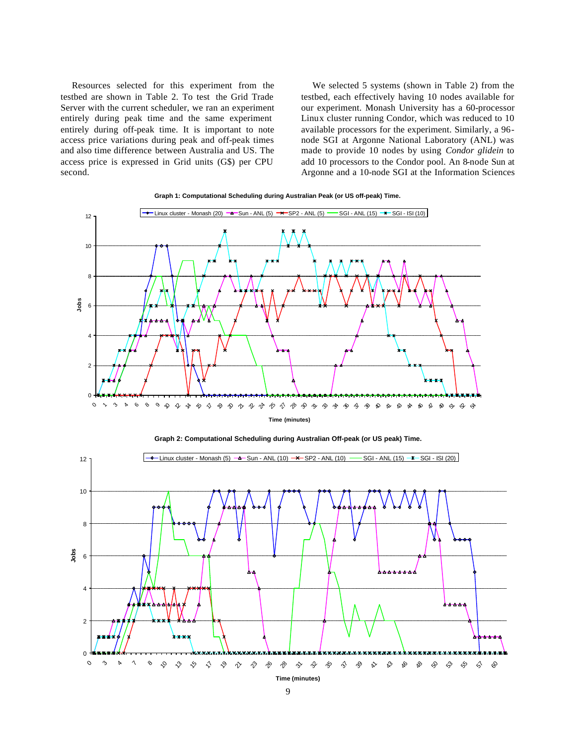Resources selected for this experiment from the testbed are shown in Table 2. To test the Grid Trade Server with the current scheduler, we ran an experiment entirely during peak time and the same experiment entirely during off-peak time. It is important to note access price variations during peak and off-peak times and also time difference between Australia and US. The access price is expressed in Grid units (G\$) per CPU second.

We selected 5 systems (shown in Table 2) from the testbed, each effectively having 10 nodes available for our experiment. Monash University has a 60-processor Linux cluster running Condor, which was reduced to 10 available processors for the experiment. Similarly, a 96 node SGI at Argonne National Laboratory (ANL) was made to provide 10 nodes by using *Condor glidein* to add 10 processors to the Condor pool. An 8-node Sun at Argonne and a 10-node SGI at the Information Sciences







**Graph 2: Computational Scheduling during Australian Off-peak (or US peak) Time.**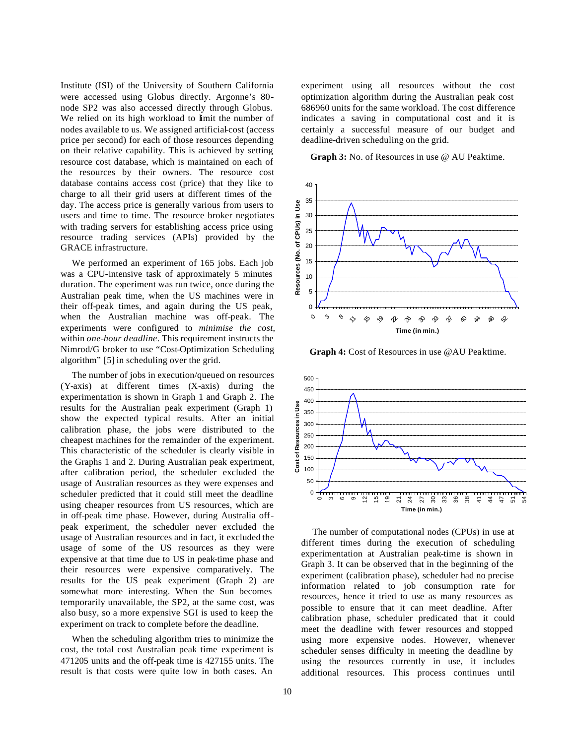Institute (ISI) of the University of Southern California were accessed using Globus directly. Argonne's 80 node SP2 was also accessed directly through Globus. We relied on its high workload to limit the number of nodes available to us. We assigned artificial-cost (access price per second) for each of those resources depending on their relative capability. This is achieved by setting resource cost database, which is maintained on each of the resources by their owners. The resource cost database contains access cost (price) that they like to charge to all their grid users at different times of the day. The access price is generally various from users to users and time to time. The resource broker negotiates with trading servers for establishing access price using resource trading services (APIs) provided by the GRACE infrastructure.

We performed an experiment of 165 jobs. Each job was a CPU-intensive task of approximately 5 minutes duration. The experiment was run twice, once during the Australian peak time, when the US machines were in their off-peak times, and again during the US peak, when the Australian machine was off-peak. The experiments were configured to *minimise the cost*, within *one-hour deadline*. This requirement instructs the Nimrod/G broker to use "Cost-Optimization Scheduling algorithm" [5] in scheduling over the grid.

The number of jobs in execution/queued on resources (Y-axis) at different times (X-axis) during the experimentation is shown in Graph 1 and Graph 2. The results for the Australian peak experiment (Graph 1) show the expected typical results. After an initial calibration phase, the jobs were distributed to the cheapest machines for the remainder of the experiment. This characteristic of the scheduler is clearly visible in the Graphs 1 and 2. During Australian peak experiment, after calibration period, the scheduler excluded the usage of Australian resources as they were expenses and scheduler predicted that it could still meet the deadline using cheaper resources from US resources, which are in off-peak time phase. However, during Australia offpeak experiment, the scheduler never excluded the usage of Australian resources and in fact, it excluded the usage of some of the US resources as they were expensive at that time due to US in peak-time phase and their resources were expensive comparatively. The results for the US peak experiment (Graph 2) are somewhat more interesting. When the Sun becomes temporarily unavailable, the SP2, at the same cost, was also busy, so a more expensive SGI is used to keep the experiment on track to complete before the deadline.

When the scheduling algorithm tries to minimize the cost, the total cost Australian peak time experiment is 471205 units and the off-peak time is 427155 units. The result is that costs were quite low in both cases. An

experiment using all resources without the cost optimization algorithm during the Australian peak cost 686960 units for the same workload. The cost difference indicates a saving in computational cost and it is certainly a successful measure of our budget and deadline-driven scheduling on the grid.





**Graph 4:** Cost of Resources in use @AU Peaktime.



The number of computational nodes (CPUs) in use at different times during the execution of scheduling experimentation at Australian peak-time is shown in Graph 3. It can be observed that in the beginning of the experiment (calibration phase), scheduler had no precise information related to job consumption rate for resources, hence it tried to use as many resources as possible to ensure that it can meet deadline. After calibration phase, scheduler predicated that it could meet the deadline with fewer resources and stopped using more expensive nodes. However, whenever scheduler senses difficulty in meeting the deadline by using the resources currently in use, it includes additional resources. This process continues until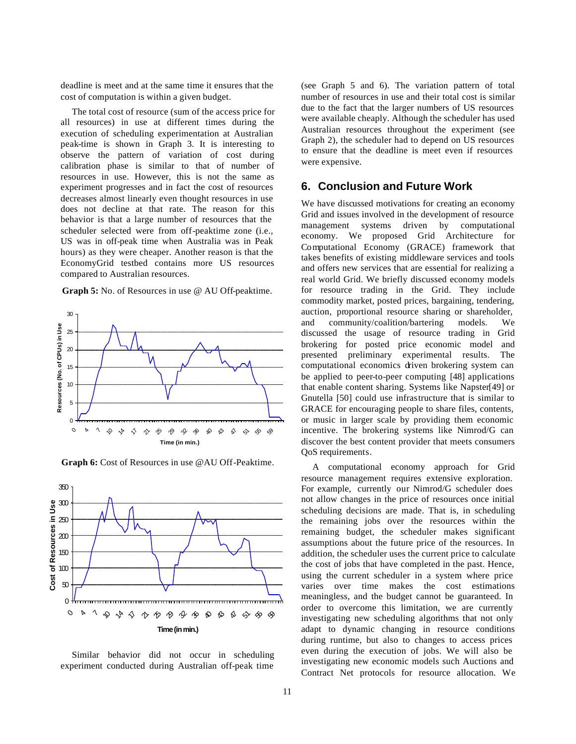deadline is meet and at the same time it ensures that the cost of computation is within a given budget.

The total cost of resource (sum of the access price for all resources) in use at different times during the execution of scheduling experimentation at Australian peak-time is shown in Graph 3. It is interesting to observe the pattern of variation of cost during calibration phase is similar to that of number of resources in use. However, this is not the same as experiment progresses and in fact the cost of resources decreases almost linearly even thought resources in use does not decline at that rate. The reason for this behavior is that a large number of resources that the scheduler selected were from off-peaktime zone (i.e., US was in off-peak time when Australia was in Peak hours) as they were cheaper. Another reason is that the EconomyGrid testbed contains more US resources compared to Australian resources.

**Graph 5:** No. of Resources in use @ AU Off-peaktime.





**Graph 6:** Cost of Resources in use @AU Off-Peaktime.

Similar behavior did not occur in scheduling experiment conducted during Australian off-peak time

(see Graph 5 and 6). The variation pattern of total number of resources in use and their total cost is similar due to the fact that the larger numbers of US resources were available cheaply. Although the scheduler has used Australian resources throughout the experiment (see Graph 2), the scheduler had to depend on US resources to ensure that the deadline is meet even if resources were expensive.

## **6. Conclusion and Future Work**

We have discussed motivations for creating an economy Grid and issues involved in the development of resource management systems driven by computational economy. We proposed Grid Architecture for Computational Economy (GRACE) framework that takes benefits of existing middleware services and tools and offers new services that are essential for realizing a real world Grid. We briefly discussed economy models for resource trading in the Grid. They include commodity market, posted prices, bargaining, tendering, auction, proportional resource sharing or shareholder, and community/coalition/bartering models. We discussed the usage of resource trading in Grid brokering for posted price economic model and presented preliminary experimental results. The computational economics driven brokering system can be applied to peer-to-peer computing [48] applications that enable content sharing. Systems like Napster[49] or Gnutella [50] could use infrastructure that is similar to GRACE for encouraging people to share files, contents, or music in larger scale by providing them economic incentive. The brokering systems like Nimrod/G can discover the best content provider that meets consumers QoS requirements.

A computational economy approach for Grid resource management requires extensive exploration. For example, currently our Nimrod/G scheduler does not allow changes in the price of resources once initial scheduling decisions are made. That is, in scheduling the remaining jobs over the resources within the remaining budget, the scheduler makes significant assumptions about the future price of the resources. In addition, the scheduler uses the current price to calculate the cost of jobs that have completed in the past. Hence, using the current scheduler in a system where price varies over time makes the cost estimations meaningless, and the budget cannot be guaranteed. In order to overcome this limitation, we are currently investigating new scheduling algorithms that not only adapt to dynamic changing in resource conditions during runtime, but also to changes to access prices even during the execution of jobs. We will also be investigating new economic models such Auctions and Contract Net protocols for resource allocation. We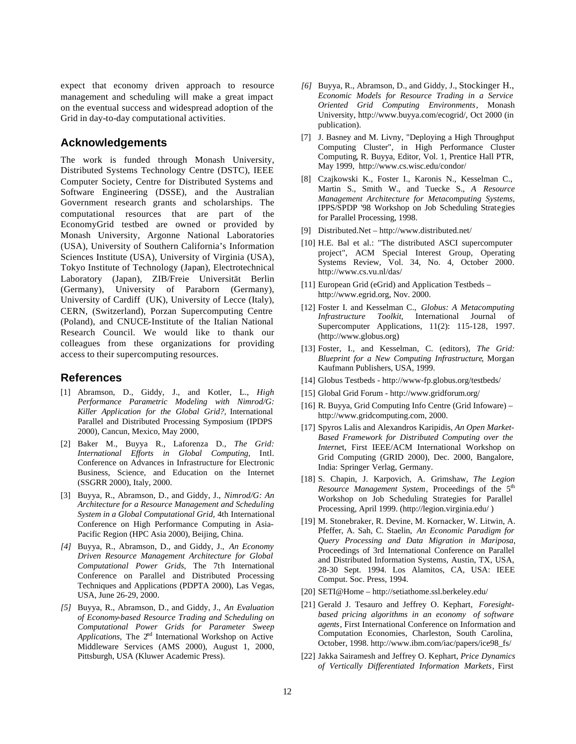expect that economy driven approach to resource management and scheduling will make a great impact on the eventual success and widespread adoption of the Grid in day-to-day computational activities.

### **Acknowledgements**

The work is funded through Monash University, Distributed Systems Technology Centre (DSTC), IEEE Computer Society, Centre for Distributed Systems and Software Engineering (DSSE), and the Australian Government research grants and scholarships. The computational resources that are part of the EconomyGrid testbed are owned or provided by Monash University, Argonne National Laboratories (USA), University of Southern California's Information Sciences Institute (USA), University of Virginia (USA), Tokyo Institute of Technology (Japan), Electrotechnical Laboratory (Japan), ZIB/Freie Universität Berlin (Germany), University of Paraborn (Germany), University of Cardiff (UK), University of Lecce (Italy), CERN, (Switzerland), Porzan Supercomputing Centre (Poland), and CNUCE-Institute of the Italian National Research Council. We would like to thank our colleagues from these organizations for providing access to their supercomputing resources.

#### **References**

- [1] Abramson, D., Giddy, J., and Kotler, L., *High Performance Parametric Modeling with Nimrod/G: Killer Application for the Global Grid?*, International Parallel and Distributed Processing Symposium (IPDPS 2000), Cancun, Mexico, May 2000,
- [2] Baker M., Buyya R., Laforenza D., *The Grid: International Efforts in Global Computing,* Intl. Conference on Advances in Infrastructure for Electronic Business, Science, and Education on the Internet (SSGRR 2000), Italy, 2000.
- [3] Buyya, R., Abramson, D., and Giddy, J., *Nimrod/G: An Architecture for a Resource Management and Scheduling System in a Global Computational Grid*, 4th International Conference on High Performance Computing in Asia-Pacific Region (HPC Asia 2000), Beijing, China.
- *[4]* Buyya, R., Abramson, D., and Giddy, J., *An Economy Driven Resource Management Architecture for Global Computational Power Grids*, The 7th International Conference on Parallel and Distributed Processing Techniques and Applications (PDPTA 2000), Las Vegas, USA, June 26-29, 2000.
- *[5]* Buyya, R., Abramson, D., and Giddy, J., *An Evaluation of Economy-based Resource Trading and Scheduling on Computational Power Grids for Parameter Sweep* Applications, The 2<sup>nd</sup> International Workshop on Active Middleware Services (AMS 2000), August 1, 2000, Pittsburgh, USA (Kluwer Academic Press).
- *[6]* Buyya, R., Abramson, D., and Giddy, J., Stockinger H., *Economic Models for Resource Trading in a Service Oriented Grid Computing Environments*, Monash University, http://www.buyya.com/ecogrid/, Oct 2000 (in publication).
- [7] J. Basney and M. Livny, "Deploying a High Throughput Computing Cluster", in High Performance Cluster Computing, R. Buyya, Editor, Vol. 1, Prentice Hall PTR, May 1999, http://www.cs.wisc.edu/condor/
- [8] Czajkowski K., Foster I., Karonis N., Kesselman C., Martin S., Smith W., and Tuecke S., *A Resource Management Architecture for Metacomputing Systems,* IPPS/SPDP '98 Workshop on Job Scheduling Strategies for Parallel Processing, 1998.
- [9] Distributed.Net http://www.distributed.net/
- [10] H.E. Bal et al.: "The distributed ASCI supercomputer project", ACM Special Interest Group, Operating Systems Review, Vol. 34, No. 4, October 2000. http://www.cs.vu.nl/das/
- [11] European Grid (eGrid) and Application Testbeds http://www.egrid.org, Nov. 2000.
- [12] Foster I. and Kesselman C., *Globus: A Metacomputing Infrastructure Toolkit*, International Journal of Supercomputer Applications, 11(2): 115-128, 1997. (http://www.globus.org)
- [13] Foster, I., and Kesselman, C. (editors), *The Grid: Blueprint for a New Computing Infrastructure*, Morgan Kaufmann Publishers, USA, 1999.
- [14] Globus Testbeds http://www-fp.globus.org/testbeds/
- [15] Global Grid Forum http://www.gridforum.org/
- [16] R. Buyya, Grid Computing Info Centre (Grid Infoware) http://www.gridcomputing.com, 2000.
- [17] Spyros Lalis and Alexandros Karipidis, *An Open Market-Based Framework for Distributed Computing over the Interne*t, First IEEE/ACM International Workshop on Grid Computing (GRID 2000), Dec. 2000, Bangalore, India: Springer Verlag, Germany.
- [18] S. Chapin, J. Karpovich, A. Grimshaw, *The Legion* Resource Management System, Proceedings of the 5<sup>th</sup> Workshop on Job Scheduling Strategies for Parallel Processing, April 1999. (http://legion.virginia.edu/ )
- [19] M. Stonebraker, R. Devine, M. Kornacker, W. Litwin, A. Pfeffer, A. Sah, C. Staelin, *An Economic Paradigm for Query Processing and Data Migration in Mariposa*, Proceedings of 3rd International Conference on Parallel and Distributed Information Systems, Austin, TX, USA, 28-30 Sept. 1994. Los Alamitos, CA, USA: IEEE Comput. Soc. Press, 1994.
- [20] SETI@Home http://setiathome.ssl.berkeley.edu/
- [21] Gerald J. Tesauro and Jeffrey O. Kephart, *Foresightbased pricing algorithms in an economy of software agents*, First International Conference on Information and Computation Economies, Charleston, South Carolina, October, 1998. http://www.ibm.com/iac/papers/ice98\_fs/
- [22] Jakka Sairamesh and Jeffrey O. Kephart, *Price Dynamics of Vertically Differentiated Information Markets*, First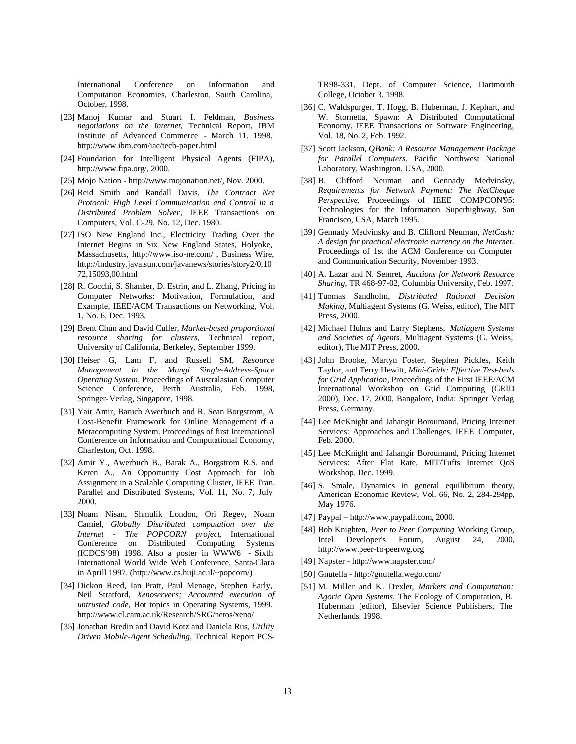International Conference on Information and Computation Economies, Charleston, South Carolina, October, 1998.

- [23] Manoj Kumar and Stuart I. Feldman, *Business negotiations on the Internet,* Technical Report, IBM Institute of Advanced Commerce - March 11, 1998, http://www.ibm.com/iac/tech-paper.html
- [24] Foundation for Intelligent Physical Agents (FIPA), http://www.fipa.org/, 2000.
- [25] Mojo Nation http://www.mojonation.net/, Nov. 2000.
- [26] Reid Smith and Randall Davis, *The Contract Net Protocol: High Level Communication and Control in a Distributed Problem Solver*, IEEE Transactions on Computers, Vol. C-29, No. 12, Dec. 1980.
- [27] ISO New England Inc., Electricity Trading Over the Internet Begins in Six New England States, Holyoke, Massachusetts, http://www.iso-ne.com/ , Business Wire, http://industry.java.sun.com/javanews/stories/story2/0,10 72,15093,00.html
- [28] R. Cocchi, S. Shanker, D. Estrin, and L. Zhang, Pricing in Computer Networks: Motivation, Formulation, and Example, IEEE/ACM Transactions on Networking, Vol. 1, No. 6, Dec. 1993.
- [29] Brent Chun and David Culler, *Market-based proportional resource sharing for clusters*, Technical report, University of California, Berkeley, September 1999.
- [30] Heiser G, Lam F, and Russell SM, *Resource Management in the Mungi Single-Address-Space Operating System,* Proceedings of Australasian Computer Science Conference, Perth Australia, Feb. 1998, Springer-Verlag, Singapore, 1998.
- [31] Yair Amir, Baruch Awerbuch and R. Sean Borgstrom, A Cost-Benefit Framework for Online Management of a Metacomputing System, Proceedings of first International Conference on Information and Computational Economy, Charleston, Oct. 1998.
- [32] Amir Y., Awerbuch B., Barak A., Borgstrom R.S. and Keren A., An Opportunity Cost Approach for Job Assignment in a Scalable Computing Cluster, IEEE Tran. Parallel and Distributed Systems, Vol. 11, No. 7, July 2000.
- [33] Noam Nisan, Shmulik London, Ori Regev, Noam Camiel, *Globally Distributed computation over the Internet - The POPCORN project*, International Conference on Distributed Computing Systems (ICDCS'98) 1998. Also a poster in WWW6 - Sixth International World Wide Web Conference, Santa-Clara in Aprill 1997. (http://www.cs.huji.ac.il/~popcorn/)
- [34] Dickon Reed, Ian Pratt, Paul Menage, Stephen Early, Neil Stratford, *Xenoservers; Accounted execution of untrusted code*, Hot topics in Operating Systems, 1999. http://www.cl.cam.ac.uk/Research/SRG/netos/xeno/
- [35] Jonathan Bredin and David Kotz and Daniela Rus, *Utility Driven Mobile-Agent Scheduling*, Technical Report PCS-

TR98-331, Dept. of Computer Science, Dartmouth College, October 3, 1998.

- [36] C. Waldspurger, T. Hogg, B. Huberman, J. Kephart, and W. Stornetta, Spawn: A Distributed Computational Economy, IEEE Transactions on Software Engineering, Vol. 18, No. 2, Feb. 1992.
- [37] Scott Jackson, *QBank: A Resource Management Package for Parallel Computers*, Pacific Northwest National Laboratory, Washington, USA, 2000.
- [38] B. Clifford Neuman and Gennady Medvinsky, *Requirements for Network Payment: The NetCheque Perspective*, Proceedings of IEEE COMPCON'95: Technologies for the Information Superhighway, San Francisco, USA, March 1995.
- [39] Gennady Medvinsky and B. Clifford Neuman, *NetCash: A design for practical electronic currency on the Internet*. Proceedings of 1st the ACM Conference on Computer and Communication Security, November 1993.
- [40] A. Lazar and N. Semret, *Auctions for Network Resource Sharing*, TR 468-97-02, Columbia University, Feb. 1997.
- [41] Tuomas Sandholm, *Distributed Rational Decision Making*, Multiagent Systems (G. Weiss, editor), The MIT Press, 2000.
- [42] Michael Huhns and Larry Stephens, *Mutiagent Systems and Societies of Agents*, Multiagent Systems (G. Weiss, editor), The MIT Press, 2000.
- [43] John Brooke, Martyn Foster, Stephen Pickles, Keith Taylor, and Terry Hewitt, *Mini-Grids: Effective Test-beds for Grid Application*, Proceedings of the First IEEE/ACM International Workshop on Grid Computing (GRID 2000), Dec. 17, 2000, Bangalore, India: Springer Verlag Press, Germany.
- [44] Lee McKnight and Jahangir Boroumand, Pricing Internet Services: Approaches and Challenges, IEEE Computer, Feb. 2000.
- [45] Lee McKnight and Jahangir Boroumand, Pricing Internet Services: After Flat Rate, MIT/Tufts Internet QoS Workshop, Dec. 1999.
- [46] S. Smale, Dynamics in general equilibrium theory, American Economic Review, Vol. 66, No. 2, 284-294pp, May 1976.
- [47] Paypal http://www.paypall.com, 2000.
- [48] Bob Knighten, *Peer to Peer Computing* Working Group, Intel Developer's Forum, August 24, 2000, http://www.peer-to-peerwg.org
- [49] Napster http://www.napster.com/
- [50] Gnutella http://gnutella.wego.com/
- [51] M. Miller and K. Drexler, *Markets and Computation: Agoric Open Systems*, The Ecology of Computation, B. Huberman (editor), Elsevier Science Publishers, The Netherlands, 1998.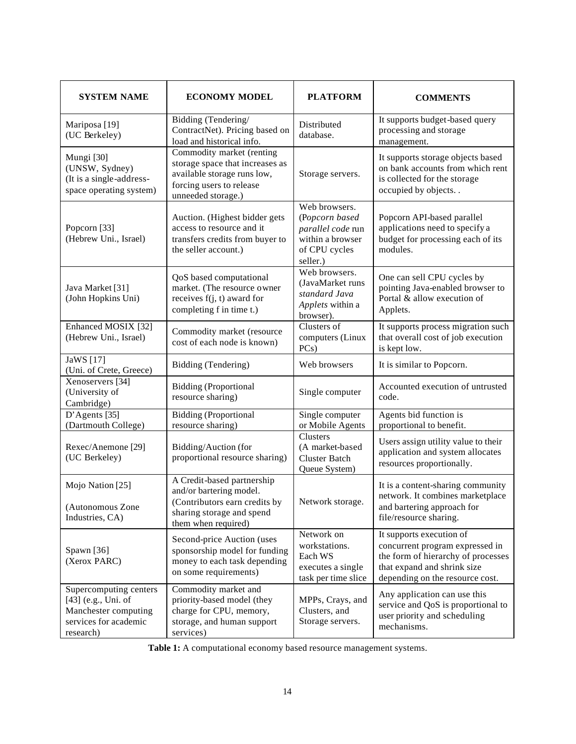| <b>SYSTEM NAME</b>                                                                                            | <b>ECONOMY MODEL</b>                                                                                                                          | <b>PLATFORM</b>                                                                                       | <b>COMMENTS</b>                                                                                                                                                     |  |
|---------------------------------------------------------------------------------------------------------------|-----------------------------------------------------------------------------------------------------------------------------------------------|-------------------------------------------------------------------------------------------------------|---------------------------------------------------------------------------------------------------------------------------------------------------------------------|--|
| Mariposa <sup>[19]</sup><br>(UC Berkeley)                                                                     | Bidding (Tendering/<br>ContractNet). Pricing based on<br>load and historical info.                                                            | Distributed<br>database.                                                                              | It supports budget-based query<br>processing and storage<br>management.                                                                                             |  |
| Mungi [30]<br>(UNSW, Sydney)<br>(It is a single-address-<br>space operating system)                           | Commodity market (renting<br>storage space that increases as<br>available storage runs low,<br>forcing users to release<br>unneeded storage.) | Storage servers.                                                                                      | It supports storage objects based<br>on bank accounts from which rent<br>is collected for the storage<br>occupied by objects                                        |  |
| Popcorn [33]<br>(Hebrew Uni., Israel)                                                                         | Auction. (Highest bidder gets<br>access to resource and it<br>transfers credits from buyer to<br>the seller account.)                         | Web browsers.<br>(Popcorn based<br>parallel code run<br>within a browser<br>of CPU cycles<br>seller.) | Popcorn API-based parallel<br>applications need to specify a<br>budget for processing each of its<br>modules.                                                       |  |
| Java Market [31]<br>(John Hopkins Uni)                                                                        | QoS based computational<br>market. (The resource owner<br>receives $f(j, t)$ award for<br>completing f in time t.)                            | Web browsers.<br>(JavaMarket runs<br>standard Java<br>Applets within a<br>browser).                   | One can sell CPU cycles by<br>pointing Java-enabled browser to<br>Portal & allow execution of<br>Applets.                                                           |  |
| Enhanced MOSIX [32]<br>(Hebrew Uni., Israel)                                                                  | Commodity market (resource<br>cost of each node is known)                                                                                     | Clusters of<br>computers (Linux<br>PCs)                                                               | It supports process migration such<br>that overall cost of job execution<br>is kept low.                                                                            |  |
| JaWS [17]<br>(Uni. of Crete, Greece)                                                                          | <b>Bidding (Tendering)</b>                                                                                                                    | Web browsers                                                                                          | It is similar to Popcorn.                                                                                                                                           |  |
| Xenoservers [34]<br>(University of<br>Cambridge)                                                              | <b>Bidding (Proportional</b><br>resource sharing)                                                                                             | Single computer                                                                                       | Accounted execution of untrusted<br>code.                                                                                                                           |  |
| D'Agents [35]<br>(Dartmouth College)                                                                          | <b>Bidding (Proportional</b><br>resource sharing)                                                                                             | Single computer<br>or Mobile Agents                                                                   | Agents bid function is<br>proportional to benefit.                                                                                                                  |  |
| Rexec/Anemone [29]<br>(UC Berkeley)                                                                           | Bidding/Auction (for<br>proportional resource sharing)                                                                                        | Clusters<br>(A market-based<br><b>Cluster Batch</b><br>Queue System)                                  | Users assign utility value to their<br>application and system allocates<br>resources proportionally.                                                                |  |
| Mojo Nation [25]<br>(Autonomous Zone<br>Industries, CA)                                                       | A Credit-based partnership<br>and/or bartering model.<br>(Contributors earn credits by<br>sharing storage and spend<br>them when required)    | Network storage.                                                                                      | It is a content-sharing community<br>network. It combines marketplace<br>and bartering approach for<br>file/resource sharing.                                       |  |
| Spawn [36]<br>(Xerox PARC)                                                                                    | Second-price Auction (uses<br>sponsorship model for funding<br>money to each task depending<br>on some requirements)                          | Network on<br>workstations.<br>Each WS<br>executes a single<br>task per time slice                    | It supports execution of<br>concurrent program expressed in<br>the form of hierarchy of processes<br>that expand and shrink size<br>depending on the resource cost. |  |
| Supercomputing centers<br>$[43]$ (e.g., Uni. of<br>Manchester computing<br>services for academic<br>research) | Commodity market and<br>priority-based model (they<br>charge for CPU, memory,<br>storage, and human support<br>services)                      | MPPs, Crays, and<br>Clusters, and<br>Storage servers.                                                 | Any application can use this<br>service and QoS is proportional to<br>user priority and scheduling<br>mechanisms.                                                   |  |

**Table 1:** A computational economy based resource management systems.